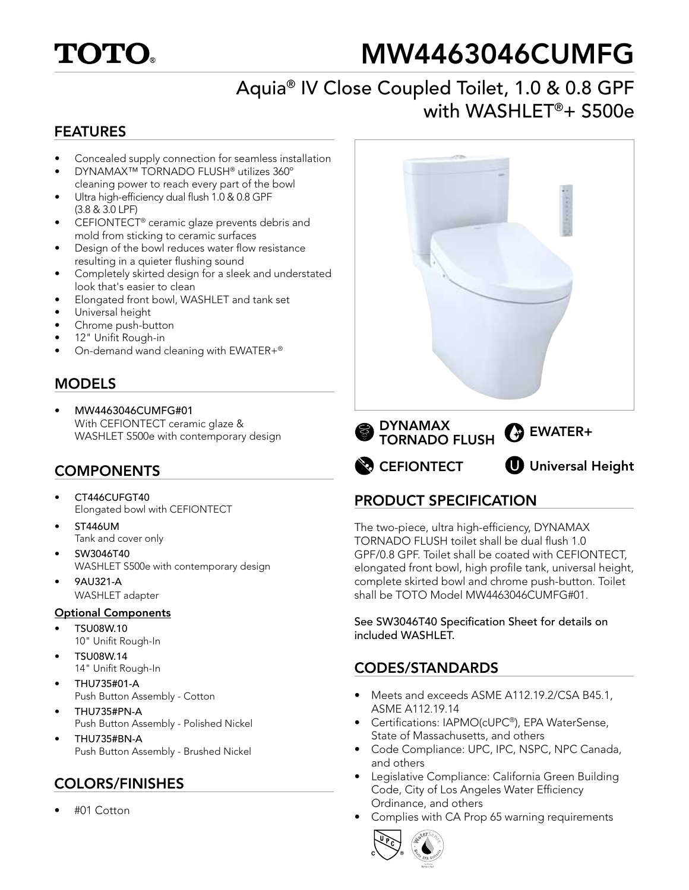

# MW4463046CUMFG

# Aquia® IV Close Coupled Toilet, 1.0 & 0.8 GPF with WASHLET®+ S500e

#### FEATURES

- Concealed supply connection for seamless installation
- DYNAMAX™ TORNADO FLUSH® utilizes 360º cleaning power to reach every part of the bowl
- Ultra high-efficiency dual flush 1.0 & 0.8 GPF (3.8 & 3.0 LPF)
- CEFIONTECT® ceramic glaze prevents debris and mold from sticking to ceramic surfaces
- Design of the bowl reduces water flow resistance resulting in a quieter flushing sound
- Completely skirted design for a sleek and understated look that's easier to clean
- Elongated front bowl, WASHLET and tank set
- Universal height
- Chrome push-button
- 12" Unifit Rough-in
- On-demand wand cleaning with EWATER+®

## MODELS

• MW4463046CUMFG#01 With CEFIONTECT ceramic glaze & WASHLET S500e with contemporary design

#### **COMPONENTS**

- CT446CUFGT40 Elongated bowl with CEFIONTECT
- ST446UM Tank and cover only
- SW3046T40 WASHLET S500e with contemporary design
- 9AU321-A WASHLET adapter

#### Optional Components

- TSU08W.10 10" Unifit Rough-In
- TSU08W.14 14" Unifit Rough-In
- THU735#01-A Push Button Assembly - Cotton
- THU735#PN-A Push Button Assembly - Polished Nickel
- THU735#BN-A Push Button Assembly - Brushed Nickel

## COLORS/FINISHES

• #01 Cotton



**CEFIONTECT** 

**UD** Universal Height

## PRODUCT SPECIFICATION

The two-piece, ultra high-efficiency, DYNAMAX TORNADO FLUSH toilet shall be dual flush 1.0 GPF/0.8 GPF. Toilet shall be coated with CEFIONTECT, elongated front bowl, high profile tank, universal height, complete skirted bowl and chrome push-button. Toilet shall be TOTO Model MW4463046CUMFG#01.

See SW3046T40 Specification Sheet for details on included WASHLET.

## CODES/STANDARDS

- Meets and exceeds ASME A112.19.2/CSA B45.1, ASME A112.19.14
- Certifications: IAPMO(cUPC®), EPA WaterSense, State of Massachusetts, and others
- Code Compliance: UPC, IPC, NSPC, NPC Canada, and others
- Legislative Compliance: California Green Building Code, City of Los Angeles Water Efficiency Ordinance, and others
- Complies with CA Prop 65 warning requirements